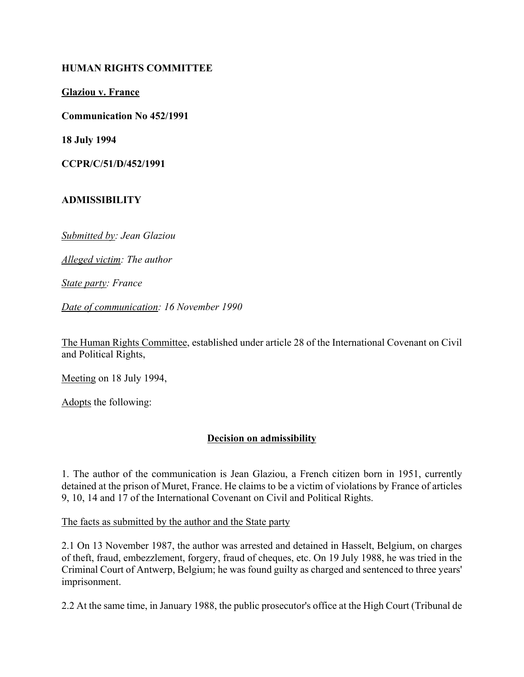#### **HUMAN RIGHTS COMMITTEE**

**Glaziou v. France**

**Communication No 452/1991**

**18 July 1994**

**CCPR/C/51/D/452/1991**

#### **ADMISSIBILITY**

*Submitted by: Jean Glaziou* 

*Alleged victim: The author* 

*State party: France* 

*Date of communication: 16 November 1990* 

The Human Rights Committee, established under article 28 of the International Covenant on Civil and Political Rights,

Meeting on 18 July 1994,

Adopts the following:

### **Decision on admissibility**

1. The author of the communication is Jean Glaziou, a French citizen born in 1951, currently detained at the prison of Muret, France. He claims to be a victim of violations by France of articles 9, 10, 14 and 17 of the International Covenant on Civil and Political Rights.

The facts as submitted by the author and the State party

2.1 On 13 November 1987, the author was arrested and detained in Hasselt, Belgium, on charges of theft, fraud, embezzlement, forgery, fraud of cheques, etc. On 19 July 1988, he was tried in the Criminal Court of Antwerp, Belgium; he was found guilty as charged and sentenced to three years' imprisonment.

2.2 At the same time, in January 1988, the public prosecutor's office at the High Court (Tribunal de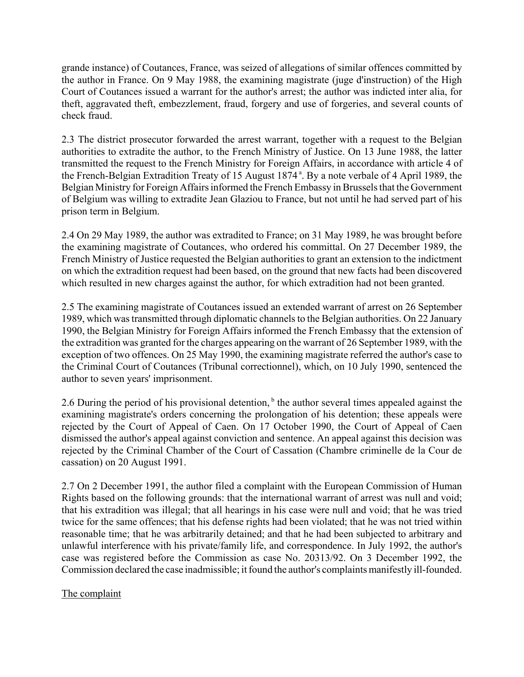grande instance) of Coutances, France, was seized of allegations of similar offences committed by the author in France. On 9 May 1988, the examining magistrate (juge d'instruction) of the High Court of Coutances issued a warrant for the author's arrest; the author was indicted inter alia, for theft, aggravated theft, embezzlement, fraud, forgery and use of forgeries, and several counts of check fraud.

2.3 The district prosecutor forwarded the arrest warrant, together with a request to the Belgian authorities to extradite the author, to the French Ministry of Justice. On 13 June 1988, the latter transmitted the request to the French Ministry for Foreign Affairs, in accordance with article 4 of the French-Belgian Extradition Treaty of 15 August 1874<sup>a</sup>. By a note verbale of 4 April 1989, the Belgian Ministry for Foreign Affairs informed the French Embassy in Brussels that the Government of Belgium was willing to extradite Jean Glaziou to France, but not until he had served part of his prison term in Belgium.

2.4 On 29 May 1989, the author was extradited to France; on 31 May 1989, he was brought before the examining magistrate of Coutances, who ordered his committal. On 27 December 1989, the French Ministry of Justice requested the Belgian authorities to grant an extension to the indictment on which the extradition request had been based, on the ground that new facts had been discovered which resulted in new charges against the author, for which extradition had not been granted.

2.5 The examining magistrate of Coutances issued an extended warrant of arrest on 26 September 1989, which was transmitted through diplomatic channels to the Belgian authorities. On 22 January 1990, the Belgian Ministry for Foreign Affairs informed the French Embassy that the extension of the extradition was granted for the charges appearing on the warrant of 26 September 1989, with the exception of two offences. On 25 May 1990, the examining magistrate referred the author's case to the Criminal Court of Coutances (Tribunal correctionnel), which, on 10 July 1990, sentenced the author to seven years' imprisonment.

2.6 During the period of his provisional detention,  $b$  the author several times appealed against the examining magistrate's orders concerning the prolongation of his detention; these appeals were rejected by the Court of Appeal of Caen. On 17 October 1990, the Court of Appeal of Caen dismissed the author's appeal against conviction and sentence. An appeal against this decision was rejected by the Criminal Chamber of the Court of Cassation (Chambre criminelle de la Cour de cassation) on 20 August 1991.

2.7 On 2 December 1991, the author filed a complaint with the European Commission of Human Rights based on the following grounds: that the international warrant of arrest was null and void; that his extradition was illegal; that all hearings in his case were null and void; that he was tried twice for the same offences; that his defense rights had been violated; that he was not tried within reasonable time; that he was arbitrarily detained; and that he had been subjected to arbitrary and unlawful interference with his private/family life, and correspondence. In July 1992, the author's case was registered before the Commission as case No. 20313/92. On 3 December 1992, the Commission declared the case inadmissible; it found the author's complaints manifestly ill-founded.

# The complaint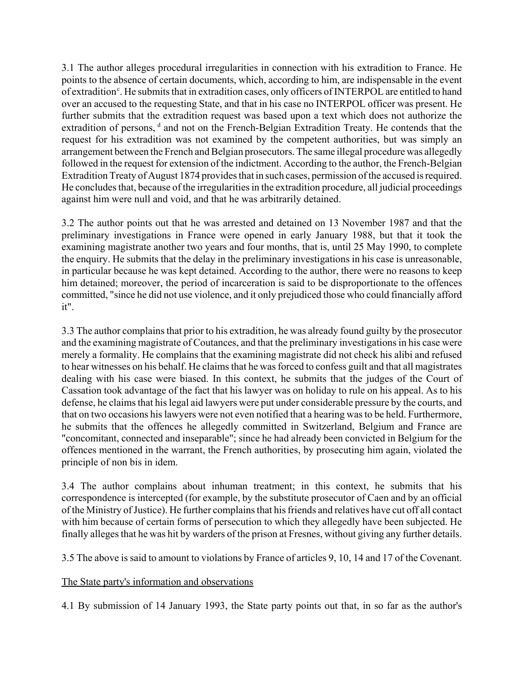3.1 The author alleges procedural irregularities in connection with his extradition to France. He points to the absence of certain documents, which, according to him, are indispensable in the event of extradition<sup>c</sup>. He submits that in extradition cases, only officers of INTERPOL are entitled to hand over an accused to the requesting State, and that in his case no INTERPOL officer was present. He further submits that the extradition request was based upon a text which does not authorize the extradition of persons, <sup>d</sup> and not on the French-Belgian Extradition Treaty. He contends that the request for his extradition was not examined by the competent authorities, but was simply an arrangement between the French and Belgian prosecutors. The same illegal procedure was allegedly followed in the request for extension of the indictment. According to the author, the French-Belgian Extradition Treaty of August 1874 provides that in such cases, permission of the accused is required. He concludes that, because of the irregularities in the extradition procedure, all judicial proceedings against him were null and void, and that he was arbitrarily detained.

3.2 The author points out that he was arrested and detained on 13 November 1987 and that the preliminary investigations in France were opened in early January 1988, but that it took the examining magistrate another two years and four months, that is, until 25 May 1990, to complete the enquiry. He submits that the delay in the preliminary investigations in his case is unreasonable, in particular because he was kept detained. According to the author, there were no reasons to keep him detained; moreover, the period of incarceration is said to be disproportionate to the offences committed, "since he did not use violence, and it only prejudiced those who could financially afford it".

3.3 The author complains that prior to his extradition, he was already found guilty by the prosecutor and the examining magistrate of Coutances, and that the preliminary investigations in his case were merely a formality. He complains that the examining magistrate did not check his alibi and refused to hear witnesses on his behalf. He claims that he was forced to confess guilt and that all magistrates dealing with his case were biased. In this context, he submits that the judges of the Court of Cassation took advantage of the fact that his lawyer was on holiday to rule on his appeal. As to his defense, he claims that his legal aid lawyers were put under considerable pressure by the courts, and that on two occasions his lawyers were not even notified that a hearing was to be held. Furthermore, he submits that the offences he allegedly committed in Switzerland, Belgium and France are "concomitant, connected and inseparable"; since he had already been convicted in Belgium for the offences mentioned in the warrant, the French authorities, by prosecuting him again, violated the principle of non bis in idem.

3.4 The author complains about inhuman treatment; in this context, he submits that his correspondence is intercepted (for example, by the substitute prosecutor of Caen and by an official of the Ministry of Justice). He further complains that his friends and relatives have cut off all contact with him because of certain forms of persecution to which they allegedly have been subjected. He finally alleges that he was hit by warders of the prison at Fresnes, without giving any further details.

3.5 The above is said to amount to violations by France of articles 9, 10, 14 and 17 of the Covenant.

### The State party's information and observations

4.1 By submission of 14 January 1993, the State party points out that, in so far as the author's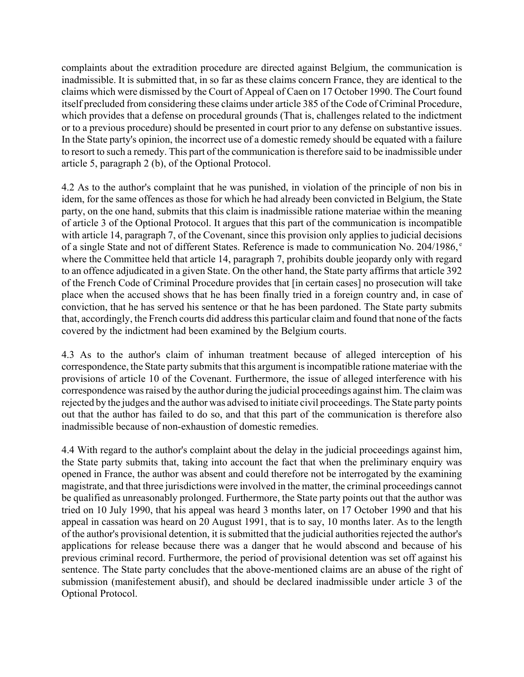complaints about the extradition procedure are directed against Belgium, the communication is inadmissible. It is submitted that, in so far as these claims concern France, they are identical to the claims which were dismissed by the Court of Appeal of Caen on 17 October 1990. The Court found itself precluded from considering these claims under article 385 of the Code of Criminal Procedure, which provides that a defense on procedural grounds (That is, challenges related to the indictment or to a previous procedure) should be presented in court prior to any defense on substantive issues. In the State party's opinion, the incorrect use of a domestic remedy should be equated with a failure to resort to such a remedy. This part of the communication is therefore said to be inadmissible under article 5, paragraph 2 (b), of the Optional Protocol.

4.2 As to the author's complaint that he was punished, in violation of the principle of non bis in idem, for the same offences as those for which he had already been convicted in Belgium, the State party, on the one hand, submits that this claim is inadmissible ratione materiae within the meaning of article 3 of the Optional Protocol. It argues that this part of the communication is incompatible with article 14, paragraph 7, of the Covenant, since this provision only applies to judicial decisions of a single State and not of different States. Reference is made to communication No. 204/1986,<sup>e</sup> where the Committee held that article 14, paragraph 7, prohibits double jeopardy only with regard to an offence adjudicated in a given State. On the other hand, the State party affirms that article 392 of the French Code of Criminal Procedure provides that [in certain cases] no prosecution will take place when the accused shows that he has been finally tried in a foreign country and, in case of conviction, that he has served his sentence or that he has been pardoned. The State party submits that, accordingly, the French courts did address this particular claim and found that none of the facts covered by the indictment had been examined by the Belgium courts.

4.3 As to the author's claim of inhuman treatment because of alleged interception of his correspondence, the State party submits that this argument is incompatible ratione materiae with the provisions of article 10 of the Covenant. Furthermore, the issue of alleged interference with his correspondence was raised by the author during the judicial proceedings against him. The claim was rejected by the judges and the author was advised to initiate civil proceedings. The State party points out that the author has failed to do so, and that this part of the communication is therefore also inadmissible because of non-exhaustion of domestic remedies.

4.4 With regard to the author's complaint about the delay in the judicial proceedings against him, the State party submits that, taking into account the fact that when the preliminary enquiry was opened in France, the author was absent and could therefore not be interrogated by the examining magistrate, and that three jurisdictions were involved in the matter, the criminal proceedings cannot be qualified as unreasonably prolonged. Furthermore, the State party points out that the author was tried on 10 July 1990, that his appeal was heard 3 months later, on 17 October 1990 and that his appeal in cassation was heard on 20 August 1991, that is to say, 10 months later. As to the length of the author's provisional detention, it is submitted that the judicial authorities rejected the author's applications for release because there was a danger that he would abscond and because of his previous criminal record. Furthermore, the period of provisional detention was set off against his sentence. The State party concludes that the above-mentioned claims are an abuse of the right of submission (manifestement abusif), and should be declared inadmissible under article 3 of the Optional Protocol.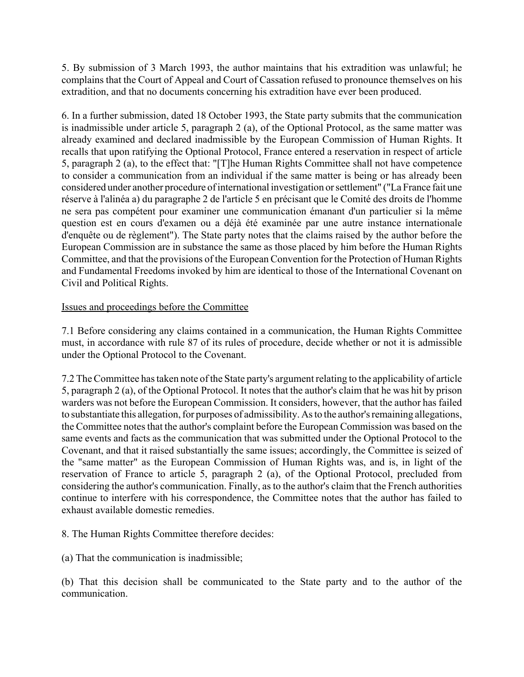5. By submission of 3 March 1993, the author maintains that his extradition was unlawful; he complains that the Court of Appeal and Court of Cassation refused to pronounce themselves on his extradition, and that no documents concerning his extradition have ever been produced.

6. In a further submission, dated 18 October 1993, the State party submits that the communication is inadmissible under article 5, paragraph 2 (a), of the Optional Protocol, as the same matter was already examined and declared inadmissible by the European Commission of Human Rights. It recalls that upon ratifying the Optional Protocol, France entered a reservation in respect of article 5, paragraph 2 (a), to the effect that: "[T]he Human Rights Committee shall not have competence to consider a communication from an individual if the same matter is being or has already been considered under another procedure of international investigation or settlement" ("La France fait une réserve à l'alinéa a) du paragraphe 2 de l'article 5 en précisant que le Comité des droits de l'homme ne sera pas compétent pour examiner une communication émanant d'un particulier si la même question est en cours d'examen ou a déjà été examinée par une autre instance internationale d'enquête ou de règlement"). The State party notes that the claims raised by the author before the European Commission are in substance the same as those placed by him before the Human Rights Committee, and that the provisions of the European Convention for the Protection of Human Rights and Fundamental Freedoms invoked by him are identical to those of the International Covenant on Civil and Political Rights.

### Issues and proceedings before the Committee

7.1 Before considering any claims contained in a communication, the Human Rights Committee must, in accordance with rule 87 of its rules of procedure, decide whether or not it is admissible under the Optional Protocol to the Covenant.

7.2 The Committee has taken note of the State party's argument relating to the applicability of article 5, paragraph 2 (a), of the Optional Protocol. It notes that the author's claim that he was hit by prison warders was not before the European Commission. It considers, however, that the author has failed to substantiate this allegation, for purposes of admissibility. As to the author's remaining allegations, the Committee notes that the author's complaint before the European Commission was based on the same events and facts as the communication that was submitted under the Optional Protocol to the Covenant, and that it raised substantially the same issues; accordingly, the Committee is seized of the "same matter" as the European Commission of Human Rights was, and is, in light of the reservation of France to article 5, paragraph 2 (a), of the Optional Protocol, precluded from considering the author's communication. Finally, as to the author's claim that the French authorities continue to interfere with his correspondence, the Committee notes that the author has failed to exhaust available domestic remedies.

8. The Human Rights Committee therefore decides:

(a) That the communication is inadmissible;

(b) That this decision shall be communicated to the State party and to the author of the communication.